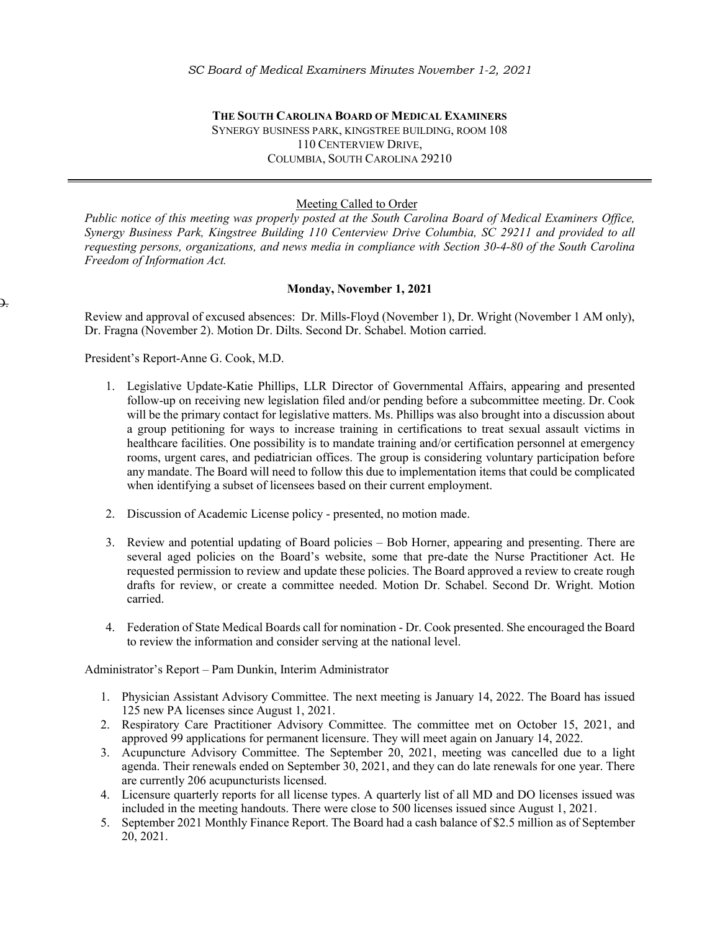**THE SOUTH CAROLINA BOARD OF MEDICAL EXAMINERS** SYNERGY BUSINESS PARK, KINGSTREE BUILDING, ROOM 108 110 CENTERVIEW DRIVE, COLUMBIA, SOUTH CAROLINA 29210

## Meeting Called to Order

*Public notice of this meeting was properly posted at the South Carolina Board of Medical Examiners Office, Synergy Business Park, Kingstree Building 110 Centerview Drive Columbia, SC 29211 and provided to all requesting persons, organizations, and news media in compliance with Section 30-4-80 of the South Carolina Freedom of Information Act.* 

## **Monday, November 1, 2021**

Review and approval of excused absences: Dr. Mills-Floyd (November 1), Dr. Wright (November 1 AM only), Dr. Fragna (November 2). Motion Dr. Dilts. Second Dr. Schabel. Motion carried.

President's Report-Anne G. Cook, M.D.

D.

- 1. Legislative Update-Katie Phillips, LLR Director of Governmental Affairs, appearing and presented follow-up on receiving new legislation filed and/or pending before a subcommittee meeting. Dr. Cook will be the primary contact for legislative matters. Ms. Phillips was also brought into a discussion about a group petitioning for ways to increase training in certifications to treat sexual assault victims in healthcare facilities. One possibility is to mandate training and/or certification personnel at emergency rooms, urgent cares, and pediatrician offices. The group is considering voluntary participation before any mandate. The Board will need to follow this due to implementation items that could be complicated when identifying a subset of licensees based on their current employment.
- 2. Discussion of Academic License policy presented, no motion made.
- 3. Review and potential updating of Board policies Bob Horner, appearing and presenting. There are several aged policies on the Board's website, some that pre-date the Nurse Practitioner Act. He requested permission to review and update these policies. The Board approved a review to create rough drafts for review, or create a committee needed. Motion Dr. Schabel. Second Dr. Wright. Motion carried.
- 4. Federation of State Medical Boards call for nomination Dr. Cook presented. She encouraged the Board to review the information and consider serving at the national level.

Administrator's Report – Pam Dunkin, Interim Administrator

- 1. Physician Assistant Advisory Committee. The next meeting is January 14, 2022. The Board has issued 125 new PA licenses since August 1, 2021.
- 2. Respiratory Care Practitioner Advisory Committee. The committee met on October 15, 2021, and approved 99 applications for permanent licensure. They will meet again on January 14, 2022.
- 3. Acupuncture Advisory Committee. The September 20, 2021, meeting was cancelled due to a light agenda. Their renewals ended on September 30, 2021, and they can do late renewals for one year. There are currently 206 acupuncturists licensed.
- 4. Licensure quarterly reports for all license types. A quarterly list of all MD and DO licenses issued was included in the meeting handouts. There were close to 500 licenses issued since August 1, 2021.
- 5. September 2021 Monthly Finance Report. The Board had a cash balance of \$2.5 million as of September 20, 2021.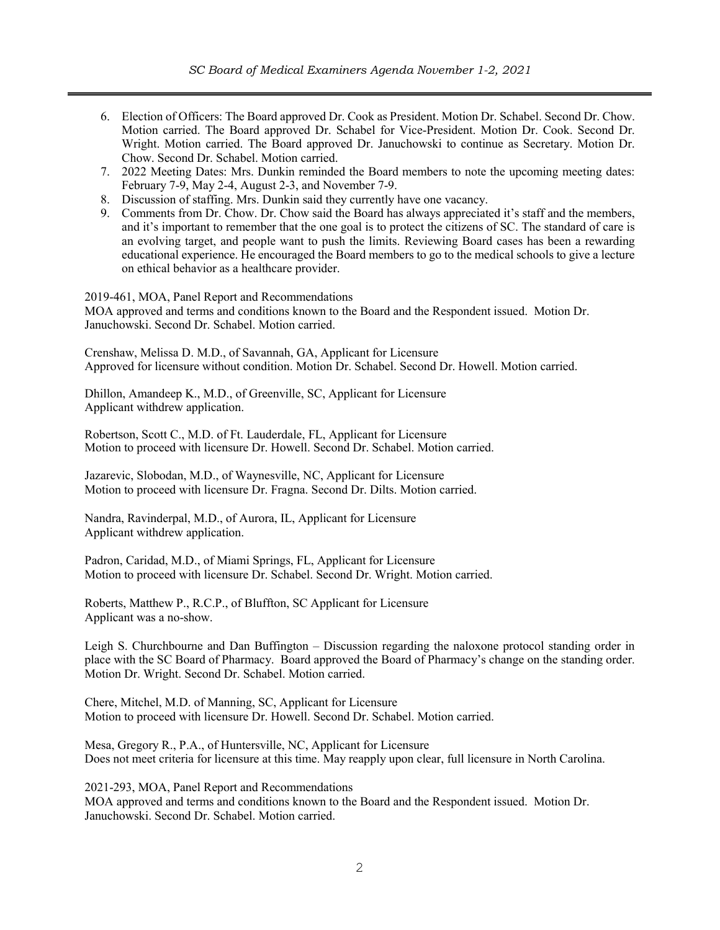- 6. Election of Officers: The Board approved Dr. Cook as President. Motion Dr. Schabel. Second Dr. Chow. Motion carried. The Board approved Dr. Schabel for Vice-President. Motion Dr. Cook. Second Dr. Wright. Motion carried. The Board approved Dr. Januchowski to continue as Secretary. Motion Dr. Chow. Second Dr. Schabel. Motion carried.
- 7. 2022 Meeting Dates: Mrs. Dunkin reminded the Board members to note the upcoming meeting dates: February 7-9, May 2-4, August 2-3, and November 7-9.
- 8. Discussion of staffing. Mrs. Dunkin said they currently have one vacancy.
- 9. Comments from Dr. Chow. Dr. Chow said the Board has always appreciated it's staff and the members, and it's important to remember that the one goal is to protect the citizens of SC. The standard of care is an evolving target, and people want to push the limits. Reviewing Board cases has been a rewarding educational experience. He encouraged the Board members to go to the medical schools to give a lecture on ethical behavior as a healthcare provider.

2019-461, MOA, Panel Report and Recommendations MOA approved and terms and conditions known to the Board and the Respondent issued. Motion Dr. Januchowski. Second Dr. Schabel. Motion carried.

Crenshaw, Melissa D. M.D., of Savannah, GA, Applicant for Licensure Approved for licensure without condition. Motion Dr. Schabel. Second Dr. Howell. Motion carried.

Dhillon, Amandeep K., M.D., of Greenville, SC, Applicant for Licensure Applicant withdrew application.

Robertson, Scott C., M.D. of Ft. Lauderdale, FL, Applicant for Licensure Motion to proceed with licensure Dr. Howell. Second Dr. Schabel. Motion carried.

Jazarevic, Slobodan, M.D., of Waynesville, NC, Applicant for Licensure Motion to proceed with licensure Dr. Fragna. Second Dr. Dilts. Motion carried.

Nandra, Ravinderpal, M.D., of Aurora, IL, Applicant for Licensure Applicant withdrew application.

Padron, Caridad, M.D., of Miami Springs, FL, Applicant for Licensure Motion to proceed with licensure Dr. Schabel. Second Dr. Wright. Motion carried.

Roberts, Matthew P., R.C.P., of Bluffton, SC Applicant for Licensure Applicant was a no-show.

Leigh S. Churchbourne and Dan Buffington – Discussion regarding the naloxone protocol standing order in place with the SC Board of Pharmacy. Board approved the Board of Pharmacy's change on the standing order. Motion Dr. Wright. Second Dr. Schabel. Motion carried.

Chere, Mitchel, M.D. of Manning, SC, Applicant for Licensure Motion to proceed with licensure Dr. Howell. Second Dr. Schabel. Motion carried.

Mesa, Gregory R., P.A., of Huntersville, NC, Applicant for Licensure Does not meet criteria for licensure at this time. May reapply upon clear, full licensure in North Carolina.

2021-293, MOA, Panel Report and Recommendations

MOA approved and terms and conditions known to the Board and the Respondent issued. Motion Dr. Januchowski. Second Dr. Schabel. Motion carried.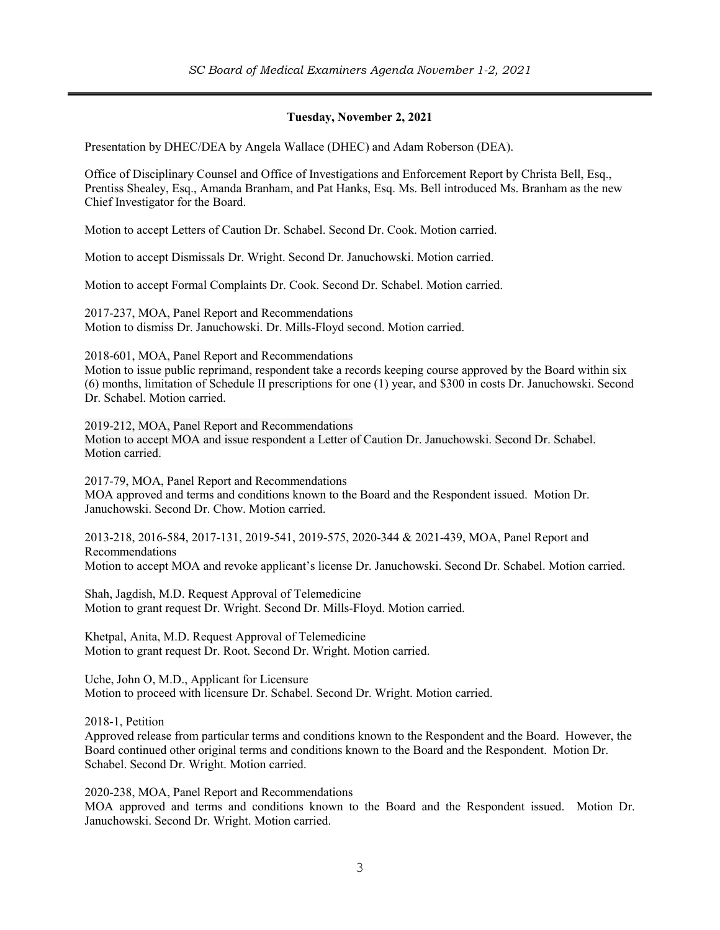## **Tuesday, November 2, 2021**

Presentation by DHEC/DEA by Angela Wallace (DHEC) and Adam Roberson (DEA).

Office of Disciplinary Counsel and Office of Investigations and Enforcement Report by Christa Bell, Esq., Prentiss Shealey, Esq., Amanda Branham, and Pat Hanks, Esq. Ms. Bell introduced Ms. Branham as the new Chief Investigator for the Board.

Motion to accept Letters of Caution Dr. Schabel. Second Dr. Cook. Motion carried.

Motion to accept Dismissals Dr. Wright. Second Dr. Januchowski. Motion carried.

Motion to accept Formal Complaints Dr. Cook. Second Dr. Schabel. Motion carried.

2017-237, MOA, Panel Report and Recommendations Motion to dismiss Dr. Januchowski. Dr. Mills-Floyd second. Motion carried.

2018-601, MOA, Panel Report and Recommendations

Motion to issue public reprimand, respondent take a records keeping course approved by the Board within six (6) months, limitation of Schedule II prescriptions for one (1) year, and \$300 in costs Dr. Januchowski. Second Dr. Schabel. Motion carried.

2019-212, MOA, Panel Report and Recommendations Motion to accept MOA and issue respondent a Letter of Caution Dr. Januchowski. Second Dr. Schabel. Motion carried.

2017-79, MOA, Panel Report and Recommendations MOA approved and terms and conditions known to the Board and the Respondent issued. Motion Dr. Januchowski. Second Dr. Chow. Motion carried.

2013-218, 2016-584, 2017-131, 2019-541, 2019-575, 2020-344 & 2021-439, MOA, Panel Report and Recommendations Motion to accept MOA and revoke applicant's license Dr. Januchowski. Second Dr. Schabel. Motion carried.

Shah, Jagdish, M.D. Request Approval of Telemedicine Motion to grant request Dr. Wright. Second Dr. Mills-Floyd. Motion carried.

Khetpal, Anita, M.D. Request Approval of Telemedicine Motion to grant request Dr. Root. Second Dr. Wright. Motion carried.

Uche, John O, M.D., Applicant for Licensure Motion to proceed with licensure Dr. Schabel. Second Dr. Wright. Motion carried.

2018-1, Petition

Approved release from particular terms and conditions known to the Respondent and the Board. However, the Board continued other original terms and conditions known to the Board and the Respondent. Motion Dr. Schabel. Second Dr. Wright. Motion carried.

2020-238, MOA, Panel Report and Recommendations MOA approved and terms and conditions known to the Board and the Respondent issued. Motion Dr. Januchowski. Second Dr. Wright. Motion carried.